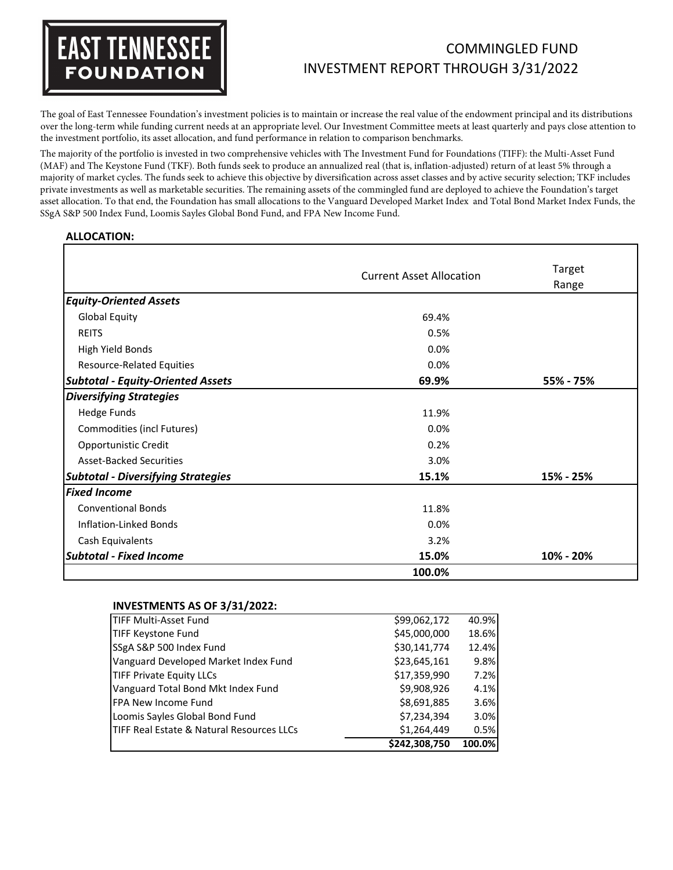# **EAST TENNESSEE FOUNDATION**

## COMMINGLED FUND INVESTMENT REPORT THROUGH 3/31/2022

The goal of East Tennessee Foundation's investment policies is to maintain or increase the real value of the endowment principal and its distributions over the long-term while funding current needs at an appropriate level. Our Investment Committee meets at least quarterly and pays close attention to the investment portfolio, its asset allocation, and fund performance in relation to comparison benchmarks.

The majority of the portfolio is invested in two comprehensive vehicles with The Investment Fund for Foundations (TIFF): the Multi-Asset Fund (MAF) and The Keystone Fund (TKF). Both funds seek to produce an annualized real (that is, inflation-adjusted) return of at least 5% through a majority of market cycles. The funds seek to achieve this objective by diversification across asset classes and by active security selection; TKF includes private investments as well as marketable securities. The remaining assets of the commingled fund are deployed to achieve the Foundation's target asset allocation. To that end, the Foundation has small allocations to the Vanguard Developed Market Index and Total Bond Market Index Funds, the SSgA S&P 500 Index Fund, Loomis Sayles Global Bond Fund, and FPA New Income Fund.

### **ALLOCATION:**

|                                           |                                 | Target    |  |  |  |
|-------------------------------------------|---------------------------------|-----------|--|--|--|
|                                           | <b>Current Asset Allocation</b> | Range     |  |  |  |
| <b>Equity-Oriented Assets</b>             |                                 |           |  |  |  |
| <b>Global Equity</b>                      | 69.4%                           |           |  |  |  |
| <b>REITS</b>                              | 0.5%                            |           |  |  |  |
| High Yield Bonds                          | 0.0%                            |           |  |  |  |
| <b>Resource-Related Equities</b>          | 0.0%                            |           |  |  |  |
| <b>Subtotal - Equity-Oriented Assets</b>  | 69.9%                           | 55% - 75% |  |  |  |
| <b>Diversifying Strategies</b>            |                                 |           |  |  |  |
| <b>Hedge Funds</b>                        | 11.9%                           |           |  |  |  |
| Commodities (incl Futures)                | 0.0%                            |           |  |  |  |
| Opportunistic Credit                      | 0.2%                            |           |  |  |  |
| <b>Asset-Backed Securities</b>            | 3.0%                            |           |  |  |  |
| <b>Subtotal - Diversifying Strategies</b> | 15.1%                           | 15% - 25% |  |  |  |
| <b>Fixed Income</b>                       |                                 |           |  |  |  |
| <b>Conventional Bonds</b>                 | 11.8%                           |           |  |  |  |
| Inflation-Linked Bonds                    | 0.0%                            |           |  |  |  |
| Cash Equivalents                          | 3.2%                            |           |  |  |  |
| <b>Subtotal - Fixed Income</b>            | 15.0%                           | 10% - 20% |  |  |  |
|                                           | 100.0%                          |           |  |  |  |

#### **INVESTMENTS AS OF 3/31/2022:**

|                                           | \$242,308,750 | 100.0% |
|-------------------------------------------|---------------|--------|
| TIFF Real Estate & Natural Resources LLCs | \$1,264,449   | 0.5%   |
| Loomis Sayles Global Bond Fund            | \$7,234,394   | 3.0%   |
| <b>FPA New Income Fund</b>                | \$8,691,885   | 3.6%   |
| Vanguard Total Bond Mkt Index Fund        | \$9,908,926   | 4.1%   |
| <b>TIFF Private Equity LLCs</b>           | \$17,359,990  | 7.2%   |
| Vanguard Developed Market Index Fund      | \$23,645,161  | 9.8%   |
| SSgA S&P 500 Index Fund                   | \$30,141,774  | 12.4%  |
| <b>TIFF Keystone Fund</b>                 | \$45,000,000  | 18.6%  |
| TIFF Multi-Asset Fund                     | \$99,062,172  | 40.9%  |